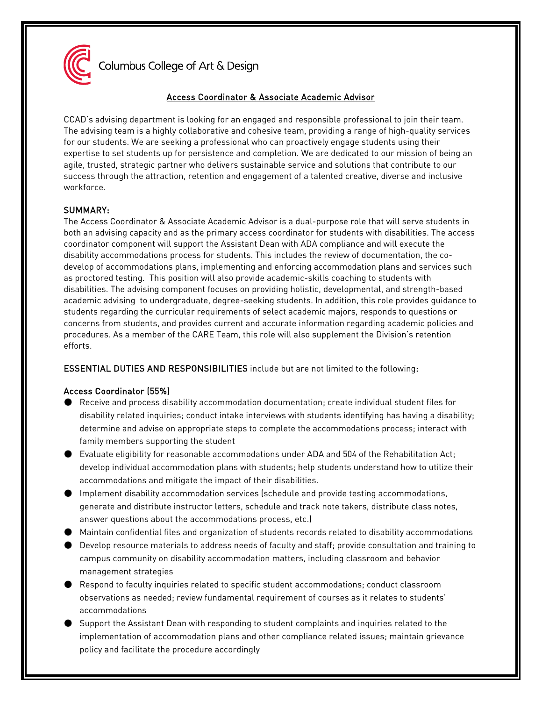

Columbus College of Art & Design

# Access Coordinator & Associate Academic Advisor

CCAD's advising department is looking for an engaged and responsible professional to join their team. The advising team is a highly collaborative and cohesive team, providing a range of high-quality services for our students. We are seeking a professional who can proactively engage students using their expertise to set students up for persistence and completion. We are dedicated to our mission of being an agile, trusted, strategic partner who delivers sustainable service and solutions that contribute to our success through the attraction, retention and engagement of a talented creative, diverse and inclusive workforce.

# SUMMARY:

The Access Coordinator & Associate Academic Advisor is a dual-purpose role that will serve students in both an advising capacity and as the primary access coordinator for students with disabilities. The access coordinator component will support the Assistant Dean with ADA compliance and will execute the disability accommodations process for students. This includes the review of documentation, the codevelop of accommodations plans, implementing and enforcing accommodation plans and services such as proctored testing. This position will also provide academic-skills coaching to students with disabilities. The advising component focuses on providing holistic, developmental, and strength-based academic advising to undergraduate, degree-seeking students. In addition, this role provides guidance to students regarding the curricular requirements of select academic majors, responds to questions or concerns from students, and provides current and accurate information regarding academic policies and procedures. As a member of the CARE Team, this role will also supplement the Division's retention efforts.

# ESSENTIAL DUTIES AND RESPONSIBILITIES include but are not limited to the following:

## Access Coordinator (55%)

- Receive and process disability accommodation documentation; create individual student files for disability related inquiries; conduct intake interviews with students identifying has having a disability; determine and advise on appropriate steps to complete the accommodations process; interact with family members supporting the student
- Evaluate eligibility for reasonable accommodations under ADA and 504 of the Rehabilitation Act; develop individual accommodation plans with students; help students understand how to utilize their accommodations and mitigate the impact of their disabilities.
- Implement disability accommodation services (schedule and provide testing accommodations, generate and distribute instructor letters, schedule and track note takers, distribute class notes, answer questions about the accommodations process, etc.)
- Maintain confidential files and organization of students records related to disability accommodations
- Develop resource materials to address needs of faculty and staff; provide consultation and training to campus community on disability accommodation matters, including classroom and behavior management strategies
- Respond to faculty inquiries related to specific student accommodations; conduct classroom observations as needed; review fundamental requirement of courses as it relates to students' accommodations
- Support the Assistant Dean with responding to student complaints and inquiries related to the implementation of accommodation plans and other compliance related issues; maintain grievance policy and facilitate the procedure accordingly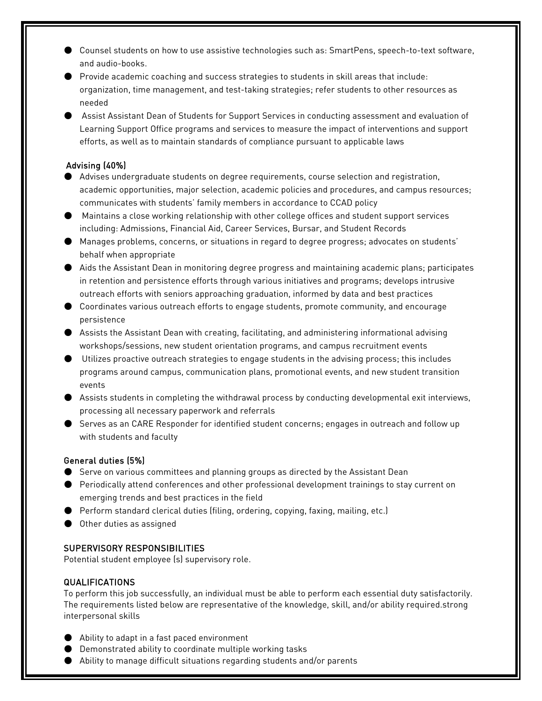- Counsel students on how to use assistive technologies such as: SmartPens, speech-to-text software, and audio-books.
- Provide academic coaching and success strategies to students in skill areas that include: organization, time management, and test-taking strategies; refer students to other resources as needed
- Assist Assistant Dean of Students for Support Services in conducting assessment and evaluation of Learning Support Office programs and services to measure the impact of interventions and support efforts, as well as to maintain standards of compliance pursuant to applicable laws

## Advising (40%)

- Advises undergraduate students on degree requirements, course selection and registration, academic opportunities, major selection, academic policies and procedures, and campus resources; communicates with students' family members in accordance to CCAD policy
- Maintains a close working relationship with other college offices and student support services including: Admissions, Financial Aid, Career Services, Bursar, and Student Records
- Manages problems, concerns, or situations in regard to degree progress; advocates on students' behalf when appropriate
- Aids the Assistant Dean in monitoring degree progress and maintaining academic plans; participates in retention and persistence efforts through various initiatives and programs; develops intrusive outreach efforts with seniors approaching graduation, informed by data and best practices
- Coordinates various outreach efforts to engage students, promote community, and encourage persistence
- Assists the Assistant Dean with creating, facilitating, and administering informational advising workshops/sessions, new student orientation programs, and campus recruitment events
- Utilizes proactive outreach strategies to engage students in the advising process; this includes programs around campus, communication plans, promotional events, and new student transition events
- Assists students in completing the withdrawal process by conducting developmental exit interviews, processing all necessary paperwork and referrals
- Serves as an CARE Responder for identified student concerns; engages in outreach and follow up with students and faculty

## General duties (5%)

- Serve on various committees and planning groups as directed by the Assistant Dean
- Periodically attend conferences and other professional development trainings to stay current on emerging trends and best practices in the field
- Perform standard clerical duties (filing, ordering, copying, faxing, mailing, etc.)
- Other duties as assigned

# SUPERVISORY RESPONSIBILITIES

Potential student employee (s) supervisory role.

# QUALIFICATIONS

To perform this job successfully, an individual must be able to perform each essential duty satisfactorily. The requirements listed below are representative of the knowledge, skill, and/or ability required.strong interpersonal skills

- Ability to adapt in a fast paced environment
- Demonstrated ability to coordinate multiple working tasks
- Ability to manage difficult situations regarding students and/or parents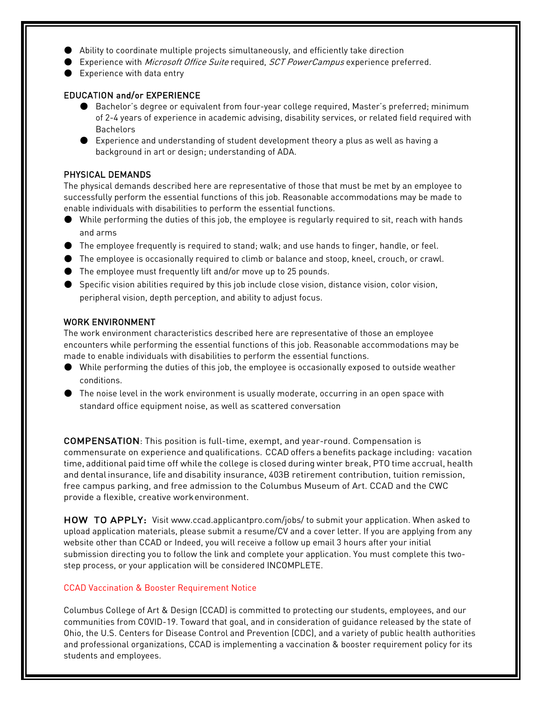- Ability to coordinate multiple projects simultaneously, and efficiently take direction
- Experience with *Microsoft Office Suite* required, *SCT PowerCampus* experience preferred.
- Experience with data entry

## EDUCATION and/or EXPERIENCE

- Bachelor's degree or equivalent from four-year college required, Master's preferred; minimum of 2-4 years of experience in academic advising, disability services, or related field required with Bachelors
- Experience and understanding of student development theory a plus as well as having a background in art or design; understanding of ADA.

## PHYSICAL DEMANDS

The physical demands described here are representative of those that must be met by an employee to successfully perform the essential functions of this job. Reasonable accommodations may be made to enable individuals with disabilities to perform the essential functions.

- While performing the duties of this job, the employee is regularly required to sit, reach with hands and arms
- The employee frequently is required to stand; walk; and use hands to finger, handle, or feel.
- The employee is occasionally required to climb or balance and stoop, kneel, crouch, or crawl.
- The employee must frequently lift and/or move up to 25 pounds.
- Specific vision abilities required by this job include close vision, distance vision, color vision, peripheral vision, depth perception, and ability to adjust focus.

## WORK ENVIRONMENT

The work environment characteristics described here are representative of those an employee encounters while performing the essential functions of this job. Reasonable accommodations may be made to enable individuals with disabilities to perform the essential functions.

- While performing the duties of this job, the employee is occasionally exposed to outside weather conditions.
- The noise level in the work environment is usually moderate, occurring in an open space with standard office equipment noise, as well as scattered conversation

COMPENSATION: This position is full-time, exempt, and year-round. Compensation is commensurate on experience and qualifications. CCAD offers a benefits package including: vacation time, additional paid time off while the college is closed during winter break, PTO time accrual, health and dental insurance, life and disability insurance, 403B retirement contribution, tuition remission, free campus parking, and free admission to the Columbus Museum of Art. CCAD and the CWC provide a flexible, creative workenvironment.

HOW TO APPLY: Visit [www.ccad.applicantpro.com/jobs/ t](http://www.ccad.applicantpro.com/jobs/)o submit your application. When asked to upload application materials, please submit a resume/CV and a cover letter. If you are applying from any website other than CCAD or Indeed, you will receive a follow up email 3 hours after your initial submission directing you to follow the link and complete your application. You must complete this twostep process, or your application will be considered INCOMPLETE.

#### CCAD Vaccination & Booster Requirement Notice

Columbus College of Art & Design (CCAD) is committed to protecting our students, employees, and our communities from COVID-19. Toward that goal, and in consideration of guidance released by the state of Ohio, the U.S. Centers for Disease Control and Prevention (CDC), and a variety of public health authorities and professional organizations, CCAD is implementing a vaccination & booster requirement policy for its students and employees.